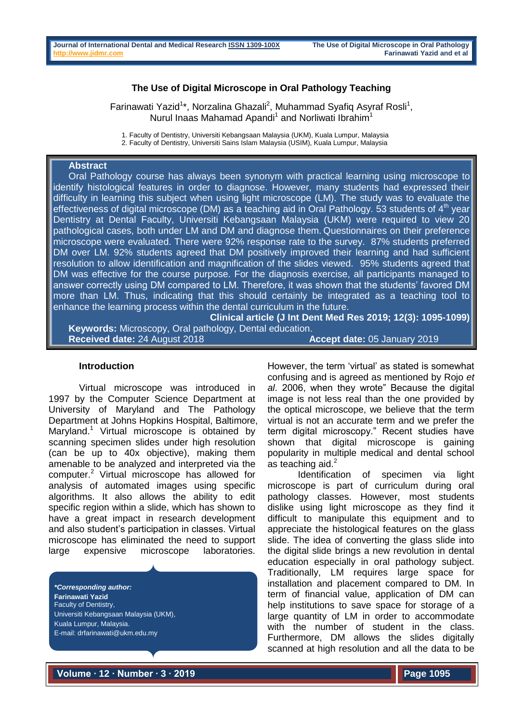## **The Use of Digital Microscope in Oral Pathology Teaching**

Farinawati Yazid<sup>1\*</sup>, Norzalina Ghazali<sup>2</sup>, Muhammad Syafiq Asyraf Rosli<sup>1</sup>, Nurul Inaas Mahamad Apandi<sup>1</sup> and Norliwati Ibrahim<sup>1</sup>

1. Faculty of Dentistry, Universiti Kebangsaan Malaysia (UKM), Kuala Lumpur, Malaysia

2. Faculty of Dentistry, Universiti Sains Islam Malaysia (USIM), Kuala Lumpur, Malaysia

# **Abstract**

Oral Pathology course has always been synonym with practical learning using microscope to identify histological features in order to diagnose. However, many students had expressed their difficulty in learning this subject when using light microscope (LM). The study was to evaluate the effectiveness of digital microscope (DM) as a teaching aid in Oral Pathology. 53 students of  $4<sup>th</sup>$  year Dentistry at Dental Faculty, Universiti Kebangsaan Malaysia (UKM) were required to view 20 pathological cases, both under LM and DM and diagnose them. Questionnaires on their preference microscope were evaluated. There were 92% response rate to the survey. 87% students preferred DM over LM. 92% students agreed that DM positively improved their learning and had sufficient resolution to allow identification and magnification of the slides viewed. 95% students agreed that DM was effective for the course purpose. For the diagnosis exercise, all participants managed to answer correctly using DM compared to LM. Therefore, it was shown that the students' favored DM more than LM. Thus, indicating that this should certainly be integrated as a teaching tool to enhance the learning process within the dental curriculum in the future.

**Clinical article (J Int Dent Med Res 2019; 12(3): 1095-1099) Keywords:** Microscopy, Oral pathology, Dental education.

**Received date:** 24 August 2018 **Accept date:** 05 January 2019

#### **Introduction**

Virtual microscope was introduced in 1997 by the Computer Science Department at University of Maryland and The Pathology Department at Johns Hopkins Hospital, Baltimore, Maryland.<sup>1</sup> Virtual microscope is obtained by scanning specimen slides under high resolution (can be up to 40x objective), making them amenable to be analyzed and interpreted via the computer.<sup>2</sup> Virtual microscope has allowed for analysis of automated images using specific algorithms. It also allows the ability to edit specific region within a slide, which has shown to have a great impact in research development and also student's participation in classes. Virtual microscope has eliminated the need to support large expensive microscope laboratories.

*\*Corresponding author:* **Farinawati Yazid** Faculty of Dentistry, Universiti Kebangsaan Malaysia (UKM), Kuala Lumpur, Malaysia. E-mail: drfarinawati@ukm.edu.my

However, the term 'virtual' as stated is somewhat confusing and is agreed as mentioned by Rojo *et al*. 2006, when they wrote" Because the digital image is not less real than the one provided by the optical microscope, we believe that the term virtual is not an accurate term and we prefer the term digital microscopy." Recent studies have shown that digital microscope is gaining popularity in multiple medical and dental school as teaching aid. $<sup>2</sup>$ </sup>

Identification of specimen via light microscope is part of curriculum during oral pathology classes. However, most students dislike using light microscope as they find it difficult to manipulate this equipment and to appreciate the histological features on the glass slide. The idea of converting the glass slide into the digital slide brings a new revolution in dental education especially in oral pathology subject. Traditionally, LM requires large space for installation and placement compared to DM. In term of financial value, application of DM can help institutions to save space for storage of a large quantity of LM in order to accommodate with the number of student in the class. Furthermore, DM allows the slides digitally scanned at high resolution and all the data to be

**Volume ∙ 12 ∙ Number ∙ 3 ∙ 2019**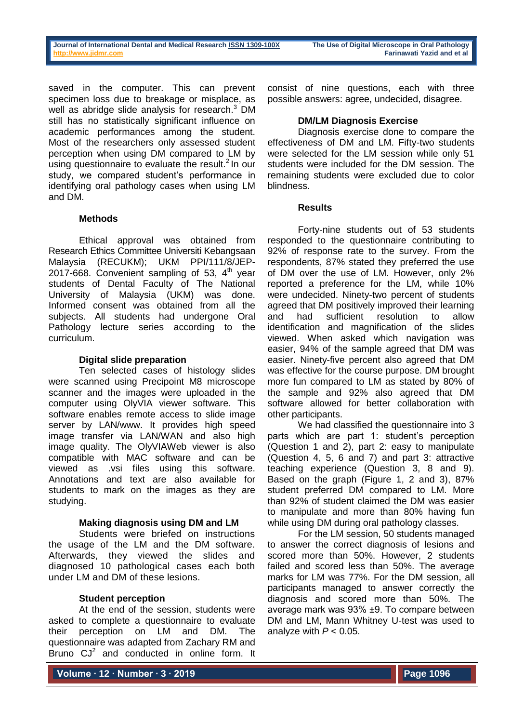saved in the computer. This can prevent specimen loss due to breakage or misplace, as well as abridge slide analysis for research.<sup>3</sup> DM still has no statistically significant influence on academic performances among the student. Most of the researchers only assessed student perception when using DM compared to LM by using questionnaire to evaluate the result. $2 \ln \text{our}$ study, we compared student's performance in identifying oral pathology cases when using LM and DM.

### **Methods**

Ethical approval was obtained from Research Ethics Committee Universiti Kebangsaan Malaysia (RECUKM); UKM PPI/111/8/JEP-2017-668. Convenient sampling of 53,  $4<sup>th</sup>$  year students of Dental Faculty of The National University of Malaysia (UKM) was done. Informed consent was obtained from all the subjects. All students had undergone Oral Pathology lecture series according to the curriculum.

## **Digital slide preparation**

Ten selected cases of histology slides were scanned using Precipoint M8 microscope scanner and the images were uploaded in the computer using OlyVIA viewer software. This software enables remote access to slide image server by LAN/www. It provides high speed image transfer via LAN/WAN and also high image quality. The OlyVIAWeb viewer is also compatible with MAC software and can be viewed as .vsi files using this software. Annotations and text are also available for students to mark on the images as they are studying.

# **Making diagnosis using DM and LM**

Students were briefed on instructions the usage of the LM and the DM software. Afterwards, they viewed the slides and diagnosed 10 pathological cases each both under LM and DM of these lesions.

# **Student perception**

At the end of the session, students were asked to complete a questionnaire to evaluate their perception on LM and DM. The questionnaire was adapted from Zachary RM and Bruno  $CJ<sup>2</sup>$  and conducted in online form. It consist of nine questions, each with three possible answers: agree, undecided, disagree.

## **DM/LM Diagnosis Exercise**

Diagnosis exercise done to compare the effectiveness of DM and LM. Fifty-two students were selected for the LM session while only 51 students were included for the DM session. The remaining students were excluded due to color blindness.

### **Results**

Forty-nine students out of 53 students responded to the questionnaire contributing to 92% of response rate to the survey. From the respondents, 87% stated they preferred the use of DM over the use of LM. However, only 2% reported a preference for the LM, while 10% were undecided. Ninety-two percent of students agreed that DM positively improved their learning and had sufficient resolution to allow identification and magnification of the slides viewed. When asked which navigation was easier, 94% of the sample agreed that DM was easier. Ninety-five percent also agreed that DM was effective for the course purpose. DM brought more fun compared to LM as stated by 80% of the sample and 92% also agreed that DM software allowed for better collaboration with other participants.

We had classified the questionnaire into 3 parts which are part 1: student's perception (Question 1 and 2), part 2: easy to manipulate (Question 4, 5, 6 and 7) and part 3: attractive teaching experience (Question 3, 8 and 9). Based on the graph (Figure 1, 2 and 3), 87% student preferred DM compared to LM. More than 92% of student claimed the DM was easier to manipulate and more than 80% having fun while using DM during oral pathology classes.

For the LM session, 50 students managed to answer the correct diagnosis of lesions and scored more than 50%. However, 2 students failed and scored less than 50%. The average marks for LM was 77%. For the DM session, all participants managed to answer correctly the diagnosis and scored more than 50%. The average mark was 93% ±9. To compare between DM and LM, Mann Whitney U-test was used to analyze with  $P < 0.05$ .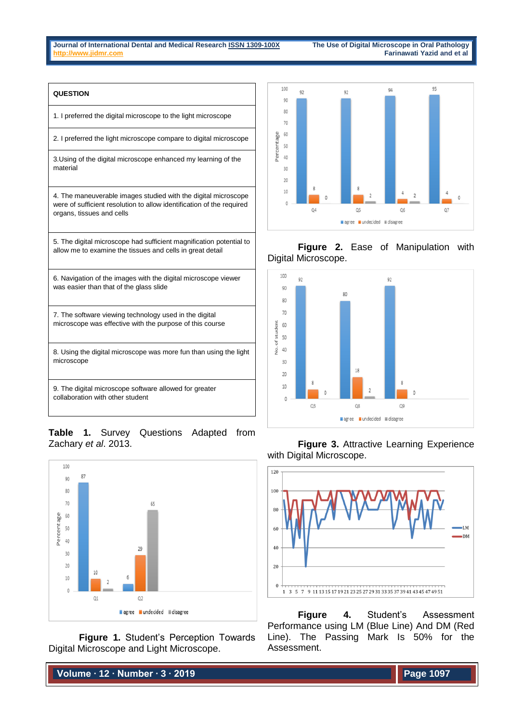# **QUESTION** 1. I preferred the digital microscope to the light microscope 2. I preferred the light microscope compare to digital microscope 3.Using of the digital microscope enhanced my learning of the material 4. The maneuverable images studied with the digital microscope were of sufficient resolution to allow identification of the required organs, tissues and cells 5. The digital microscope had sufficient magnification potential to allow me to examine the tissues and cells in great detail 6. Navigation of the images with the digital microscope viewer was easier than that of the glass slide 7. The software viewing technology used in the digital microscope was effective with the purpose of this course 8. Using the digital microscope was more fun than using the light microscope 9. The digital microscope software allowed for greater collaboration with other student

**Table 1.** Survey Questions Adapted from Zachary *et al*. 2013.



**Figure 1.** Student's Perception Towards Digital Microscope and Light Microscope.

**Volume ∙ 12 ∙ Number ∙ 3 ∙ 2019**



# **Figure 2.** Ease of Manipulation with Digital Microscope.





**Figure 4.** Student's Assessment Performance using LM (Blue Line) And DM (Red Line). The Passing Mark Is 50% for the Assessment.

**Figure 3.** Attractive Learning Experience with Digital Microscope.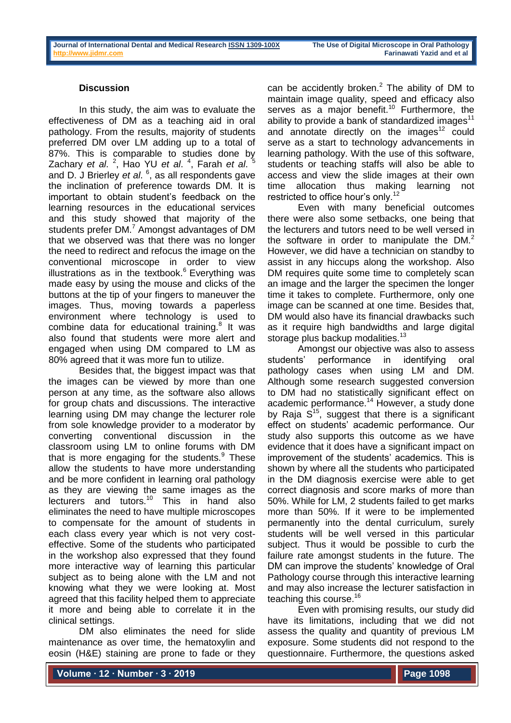### **Discussion**

In this study, the aim was to evaluate the effectiveness of DM as a teaching aid in oral pathology. From the results, majority of students preferred DM over LM adding up to a total of 87%. This is comparable to studies done by Zachary *et al*. <sup>2</sup>, Hao YU *et al*. <sup>4</sup>, Farah *et al*. <sup>5</sup> and D. J Brierley *et al*. 6 , as all respondents gave the inclination of preference towards DM. It is important to obtain student's feedback on the learning resources in the educational services and this study showed that majority of the students prefer DM.<sup>7</sup> Amongst advantages of DM that we observed was that there was no longer the need to redirect and refocus the image on the conventional microscope in order to view illustrations as in the textbook. $6$  Everything was made easy by using the mouse and clicks of the buttons at the tip of your fingers to maneuver the images. Thus, moving towards a paperless environment where technology is used to combine data for educational training. $8$  It was also found that students were more alert and engaged when using DM compared to LM as 80% agreed that it was more fun to utilize.

Besides that, the biggest impact was that the images can be viewed by more than one person at any time, as the software also allows for group chats and discussions. The interactive learning using DM may change the lecturer role from sole knowledge provider to a moderator by converting conventional discussion in the classroom using LM to online forums with DM that is more engaging for the students. $9$  These allow the students to have more understanding and be more confident in learning oral pathology as they are viewing the same images as the lecturers and tutors.<sup>10</sup> This in hand also eliminates the need to have multiple microscopes to compensate for the amount of students in each class every year which is not very costeffective. Some of the students who participated in the workshop also expressed that they found more interactive way of learning this particular subject as to being alone with the LM and not knowing what they we were looking at. Most agreed that this facility helped them to appreciate it more and being able to correlate it in the clinical settings.

DM also eliminates the need for slide maintenance as over time, the hematoxylin and eosin (H&E) staining are prone to fade or they can be accidently broken. $<sup>2</sup>$  The ability of DM to</sup> maintain image quality, speed and efficacy also serves as a major benefit.<sup>10</sup> Furthermore, the ability to provide a bank of standardized images $11$ and annotate directly on the images<sup>12</sup> could serve as a start to technology advancements in learning pathology. With the use of this software, students or teaching staffs will also be able to access and view the slide images at their own time allocation thus making learning not restricted to office hour's only.<sup>12</sup>

Even with many beneficial outcomes there were also some setbacks, one being that the lecturers and tutors need to be well versed in the software in order to manipulate the  $DM<sup>2</sup>$ However, we did have a technician on standby to assist in any hiccups along the workshop. Also DM requires quite some time to completely scan an image and the larger the specimen the longer time it takes to complete. Furthermore, only one image can be scanned at one time. Besides that, DM would also have its financial drawbacks such as it require high bandwidths and large digital storage plus backup modalities.<sup>13</sup>

Amongst our objective was also to assess students' performance in identifying oral pathology cases when using LM and DM. Although some research suggested conversion to DM had no statistically significant effect on academic performance.<sup>14</sup> However, a study done by Raja  $S^{15}$ , suggest that there is a significant effect on students' academic performance. Our study also supports this outcome as we have evidence that it does have a significant impact on improvement of the students' academics. This is shown by where all the students who participated in the DM diagnosis exercise were able to get correct diagnosis and score marks of more than 50%. While for LM, 2 students failed to get marks more than 50%. If it were to be implemented permanently into the dental curriculum, surely students will be well versed in this particular subject. Thus it would be possible to curb the failure rate amongst students in the future. The DM can improve the students' knowledge of Oral Pathology course through this interactive learning and may also increase the lecturer satisfaction in teaching this course.<sup>16</sup>

Even with promising results, our study did have its limitations, including that we did not assess the quality and quantity of previous LM exposure. Some students did not respond to the questionnaire. Furthermore, the questions asked

**Volume ∙ 12 ∙ Number ∙ 3 ∙ 2019**